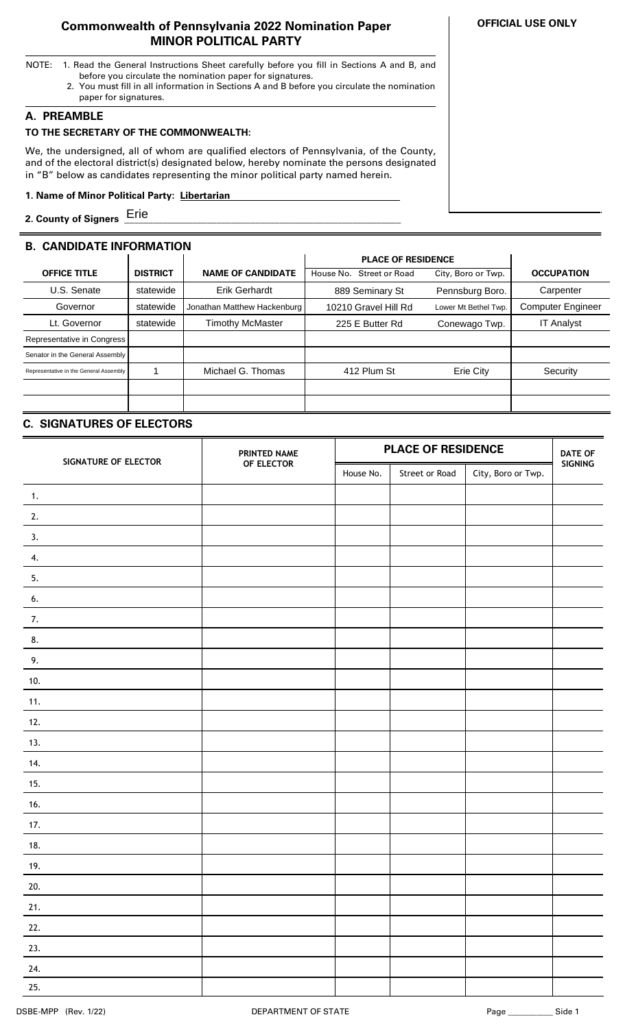### **Commonwealth of Pennsylvania 2022 Nomination Paper MINOR POLITICAL PARTY**

- NOTE: 1. Read the General Instructions Sheet carefully before you fill in Sections A and B, and before you circulate the nomination paper for signatures.
	- 2. You must fill in all information in Sections A and B before you circulate the nomination paper for signatures.

# **A. PREAMBLE**

### **TO THE SECRETARY OF THE COMMONWEALTH:**

We, the undersigned, all of whom are qualified electors of Pennsylvania, of the County, and of the electoral district(s) designated below, hereby nominate the persons designated in "B" below as candidates representing the minor political party named herein.

### **1. Name of Minor Political Party: Libertarian ..**

**2. County of Signers \_\_\_\_\_\_\_\_\_\_\_\_\_\_\_\_\_\_\_\_\_\_\_\_\_\_\_\_\_\_\_\_\_\_\_\_\_\_\_\_\_\_\_\_\_\_\_\_\_\_\_\_\_\_\_\_\_** Erie

# **B. CANDIDATE INFORMATION**

|                                        |                 |                             | <b>PLACE OF RESIDENCE</b>          |                      |                          |
|----------------------------------------|-----------------|-----------------------------|------------------------------------|----------------------|--------------------------|
| <b>OFFICE TITLE</b>                    | <b>DISTRICT</b> | <b>NAME OF CANDIDATE</b>    | <b>Street or Road</b><br>House No. | City, Boro or Twp.   | <b>OCCUPATION</b>        |
| U.S. Senate                            | statewide       | <b>Erik Gerhardt</b>        | 889 Seminary St                    | Pennsburg Boro.      | Carpenter                |
| Governor                               | statewide       | Jonathan Matthew Hackenburg | 10210 Gravel Hill Rd               | Lower Mt Bethel Twp. | <b>Computer Engineer</b> |
| Lt. Governor                           | statewide       | Timothy McMaster            | 225 E Butter Rd                    | Conewago Twp.        | <b>IT Analyst</b>        |
| Representative in Congress             |                 |                             |                                    |                      |                          |
| Senator in the General Assembly        |                 |                             |                                    |                      |                          |
| Representative in the General Assembly |                 | Michael G. Thomas           | 412 Plum St                        | Erie City            | Security                 |
|                                        |                 |                             |                                    |                      |                          |
|                                        |                 |                             |                                    |                      |                          |

# **C. SIGNATURES OF ELECTORS**

| SIGNATURE OF ELECTOR | PRINTED NAME | <b>PLACE OF RESIDENCE</b> |                |                    | <b>DATE OF</b> |
|----------------------|--------------|---------------------------|----------------|--------------------|----------------|
|                      | OF ELECTOR   | House No.                 | Street or Road | City, Boro or Twp. | SIGNING        |
| 1.                   |              |                           |                |                    |                |
| 2.                   |              |                           |                |                    |                |
| 3.                   |              |                           |                |                    |                |
| 4.                   |              |                           |                |                    |                |
| 5.                   |              |                           |                |                    |                |
| 6.                   |              |                           |                |                    |                |
| 7.                   |              |                           |                |                    |                |
| 8.                   |              |                           |                |                    |                |
| 9.                   |              |                           |                |                    |                |
| 10.                  |              |                           |                |                    |                |
| 11.                  |              |                           |                |                    |                |
| 12.                  |              |                           |                |                    |                |
| 13.                  |              |                           |                |                    |                |
| 14.                  |              |                           |                |                    |                |
| 15.                  |              |                           |                |                    |                |
| 16.                  |              |                           |                |                    |                |
| 17.                  |              |                           |                |                    |                |
| 18.                  |              |                           |                |                    |                |
| 19.                  |              |                           |                |                    |                |
| 20.                  |              |                           |                |                    |                |
| 21.                  |              |                           |                |                    |                |
| 22.                  |              |                           |                |                    |                |
| 23.                  |              |                           |                |                    |                |
| 24.                  |              |                           |                |                    |                |
| 25.                  |              |                           |                |                    |                |